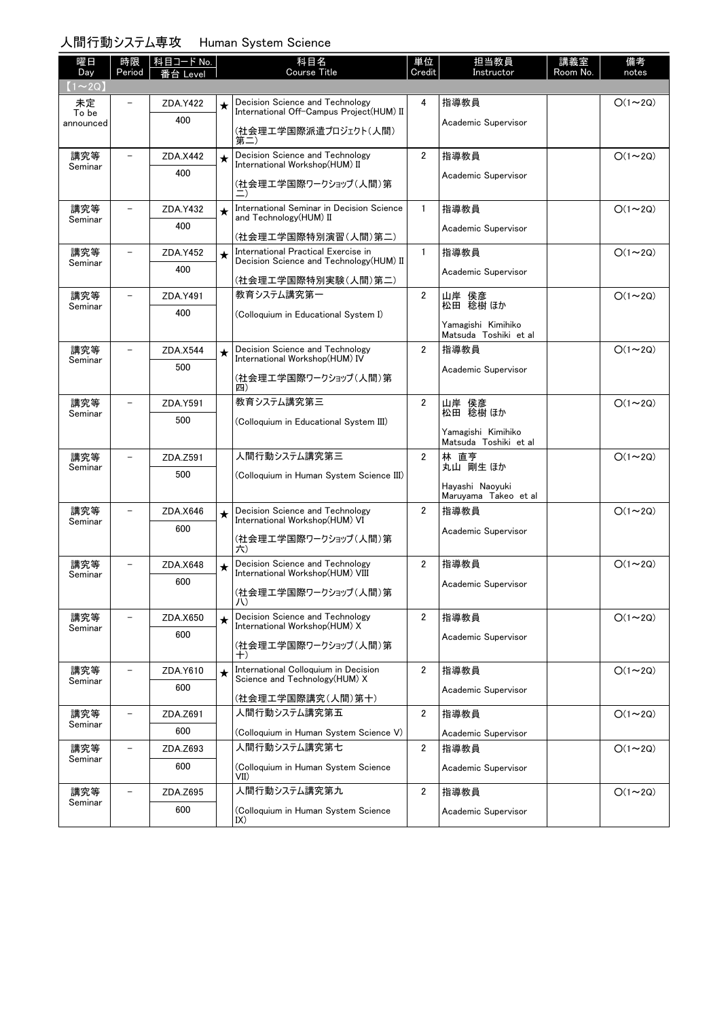# 人間行動システム専攻 Human System Science

| 曜日<br>Day          | 時限<br>Period             | 科目コード No.<br>≸台 Level |         | 科目名<br><b>Course Title</b>                                             | 単位<br>Credit   | 担当教員<br>Instructor                          | 講義室<br>Room No. | 備考<br>notes    |
|--------------------|--------------------------|-----------------------|---------|------------------------------------------------------------------------|----------------|---------------------------------------------|-----------------|----------------|
| $(1\sim 2Q)$       |                          |                       |         |                                                                        |                |                                             |                 |                |
| 未定                 |                          | ZDA.Y422              | $\star$ | Decision Science and Technology                                        | 4              | 指導教員                                        |                 | $O(1\sim 2Q)$  |
| To be<br>announced |                          | 400                   |         | International Off-Campus Project(HUM) II                               |                | Academic Supervisor                         |                 |                |
|                    |                          |                       |         | (社会理工学国際派遣プロジェクト(人間)<br>第二)                                            |                |                                             |                 |                |
| 講究等                |                          | ZDA.X442              | $\star$ | Decision Science and Technology<br>International Workshop(HUM) II      | $\overline{2}$ | 指導教員                                        |                 | $O(1\sim 2Q)$  |
| Seminar            |                          | 400                   |         |                                                                        |                | Academic Supervisor                         |                 |                |
|                    |                          |                       |         | (社会理工学国際ワークショップ(人間)第                                                   |                |                                             |                 |                |
| 講究等                | $\overline{\phantom{0}}$ | ZDA.Y432              | $\star$ | International Seminar in Decision Science<br>and Technology (HUM) II   | $\mathbf{1}$   | 指導教員                                        |                 | $O(1\sim 2Q)$  |
| Seminar            |                          | 400                   |         | (社会理工学国際特別演習(人間)第二)                                                    |                | Academic Supervisor                         |                 |                |
| 講究等                | $\overline{\phantom{0}}$ | ZDA.Y452              | $\star$ | International Practical Exercise in                                    | $\mathbf{1}$   | 指導教員                                        |                 | $O(1\sim 2Q)$  |
| Seminar            |                          | 400                   |         | Decision Science and Technology (HUM) II                               |                | Academic Supervisor                         |                 |                |
|                    |                          |                       |         | (社会理工学国際特別実験(人間)第二)                                                    |                |                                             |                 |                |
| 講究等<br>Seminar     | $\overline{\phantom{0}}$ | ZDA.Y491              |         | 教育システム講究第一                                                             | $\overline{2}$ | 山岸 侯彦<br>松田 稔樹ほか                            |                 | $O(1\sim 2Q)$  |
|                    |                          | 400                   |         | (Colloquium in Educational System I)                                   |                | Yamagishi Kimihiko                          |                 |                |
|                    |                          |                       |         |                                                                        |                | Matsuda Toshiki et al                       |                 |                |
| 講究等<br>Seminar     |                          | ZDA.X544              | $\star$ | Decision Science and Technology<br>International Workshop(HUM) IV      | $\overline{2}$ | 指導教員                                        |                 | $O(1\sim 2Q)$  |
|                    |                          | 500                   |         | (社会理工学国際ワークショップ(人間)第                                                   |                | Academic Supervisor                         |                 |                |
|                    |                          |                       |         | 四)                                                                     |                |                                             |                 |                |
| 講究等<br>Seminar     | $\overline{\phantom{0}}$ | ZDA.Y591              |         | 教育システム講究第三                                                             | $\overline{2}$ | 山岸 侯彦<br>松田 稔樹 ほか                           |                 | $O(1\sim 2Q)$  |
|                    |                          | 500                   |         | (Colloquium in Educational System III)                                 |                |                                             |                 |                |
|                    |                          |                       |         |                                                                        |                | Yamagishi Kimihiko<br>Matsuda Toshiki et al |                 |                |
| 講究等<br>Seminar     |                          | ZDA.Z591              |         | 人間行動システム講究第三                                                           | $\overline{2}$ | 林 直亨<br>丸山 剛生 ほか                            |                 | $O(1\sim 2Q)$  |
|                    |                          | 500                   |         | (Colloquium in Human System Science III)                               |                |                                             |                 |                |
|                    |                          |                       |         |                                                                        |                | Hayashi Naoyuki<br>Maruyama Takeo et al     |                 |                |
| 講究等                | $\overline{a}$           | ZDA.X646              | $\star$ | Decision Science and Technology<br>International Workshop(HUM) VI      | $\overline{2}$ | 指導教員                                        |                 | $O(1\sim 2Q)$  |
| Seminar            |                          | 600                   |         |                                                                        |                | Academic Supervisor                         |                 |                |
|                    |                          |                       |         | (社会理工学国際ワークショップ(人間)第<br>六)                                             |                |                                             |                 |                |
| 講究等                |                          | ZDA.X648              | $\star$ | Decision Science and Technology<br>International Workshop(HUM) VIII    | $\overline{2}$ | 指導教員                                        |                 | $O(1\sim 2Q)$  |
| Seminar            |                          | 600                   |         |                                                                        |                | Academic Supervisor                         |                 |                |
|                    |                          |                       |         | (社会理工学国際ワークショップ(人間)第<br>八                                              |                |                                             |                 |                |
| 講究等                |                          | ZDA.X650              | $\star$ | Decision Science and Technology<br>International Workshop(HUM) X       | $\overline{2}$ | 指導教員                                        |                 | $O(1\sim 2Q)$  |
| Seminar            |                          | 600                   |         |                                                                        |                | Academic Supervisor                         |                 |                |
|                    |                          |                       |         | (社会理工学国際ワークショップ(人間)第<br>$^{+)}$                                        |                |                                             |                 |                |
| 講究等                | $\overline{\phantom{0}}$ | ZDA.Y610              | $\star$ | International Colloquium in Decision<br>Science and Technology (HUM) X | $\overline{2}$ | 指導教員                                        |                 | $O(1\sim 2Q)$  |
| Seminar            |                          | 600                   |         |                                                                        |                | Academic Supervisor                         |                 |                |
| 講究等                | $\overline{\phantom{0}}$ | ZDA.Z691              |         | (社会理工学国際講究(人間)第十)<br>人間行動システム講究第五                                      | $\overline{2}$ | 指導教員                                        |                 | $O(1\sim 2Q)$  |
| Seminar            |                          | 600                   |         | (Colloquium in Human System Science V)                                 |                | Academic Supervisor                         |                 |                |
| 講究等                | -                        | ZDA.Z693              |         | 人間行動システム講究第七                                                           | $\overline{2}$ | 指導教員                                        |                 | $O(1\sim 2Q)$  |
| Seminar            |                          | 600                   |         | (Colloquium in Human System Science                                    |                | Academic Supervisor                         |                 |                |
|                    |                          |                       |         | VII)                                                                   |                |                                             |                 |                |
| 講究等<br>Seminar     |                          | ZDA.Z695              |         | 人間行動システム講究第九                                                           | $\overline{2}$ | 指導教員                                        |                 | $O(1 \sim 2Q)$ |
|                    |                          | 600                   |         | (Colloquium in Human System Science<br>IX)                             |                | Academic Supervisor                         |                 |                |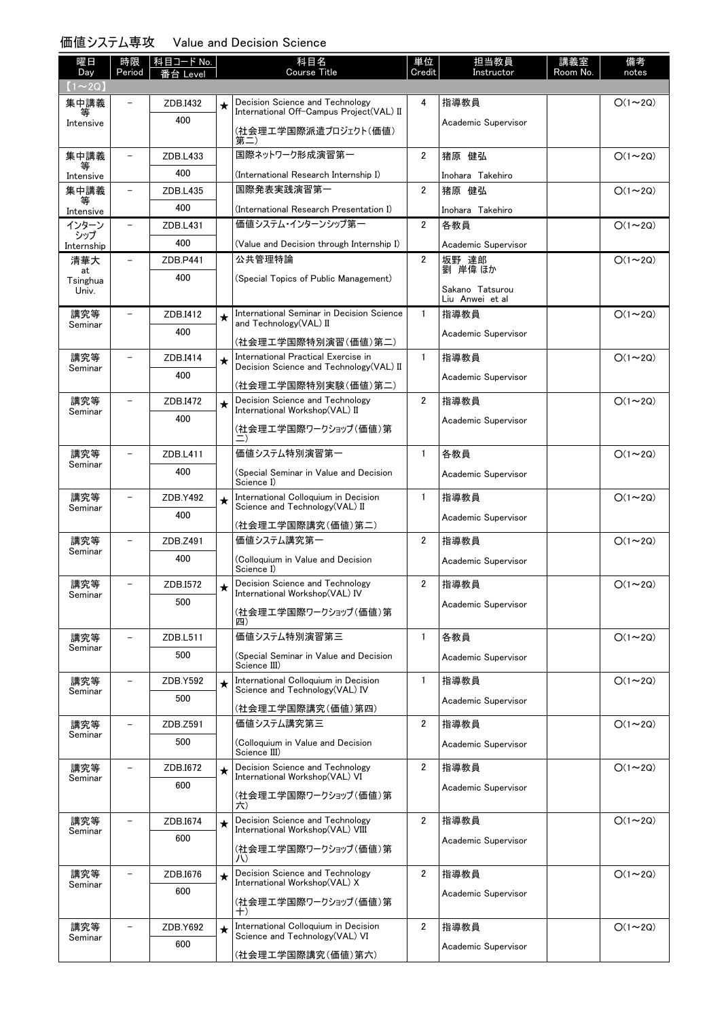### 価値システム専攻 Value and Decision Science

| 曜日<br>Day         | 時限                       | │科目コード No. |         | 科目名<br><b>Course Title</b>                                              | 単位<br>Credit            | 担当教員<br>Instructor                 | 講義室<br>Room No. | 備考<br>notes   |
|-------------------|--------------------------|------------|---------|-------------------------------------------------------------------------|-------------------------|------------------------------------|-----------------|---------------|
| $(1\sim 2Q)$      | Period                   | 番台 Level   |         |                                                                         |                         |                                    |                 |               |
| 集中講義              |                          | ZDB.I432   | $\star$ | Decision Science and Technology                                         | 4                       | 指導教員                               |                 | $O(1\sim 2Q)$ |
| 等<br>Intensive    |                          | 400        |         | International Off-Campus Project(VAL) II<br>(社会理工学国際派遣プロジェクト(価値)<br>第二) |                         | Academic Supervisor                |                 |               |
| 集中講義              |                          | ZDB.L433   |         | 国際ネットワーク形成演習第一                                                          | $\overline{2}$          | 猪原 健弘                              |                 | $O(1\sim 2Q)$ |
| Intensive         |                          | 400        |         | (International Research Internship I)                                   |                         | Inohara Takehiro                   |                 |               |
| 集中講義              |                          | ZDB.L435   |         | 国際発表実践演習第一                                                              | $\overline{2}$          | 猪原 健弘                              |                 | $O(1\sim 2Q)$ |
| 等<br>Intensive    |                          | 400        |         | (International Research Presentation I)                                 |                         | Inohara Takehiro                   |                 |               |
| インターン<br>シップ      | $\overline{\phantom{0}}$ | ZDB.L431   |         | 価値システム・インターンシップ第一                                                       | $\overline{2}$          | 各教員                                |                 | $O(1\sim 2Q)$ |
| Internship        |                          | 400        |         | (Value and Decision through Internship I)                               |                         | Academic Supervisor                |                 |               |
| 清華大<br>at         | $-$                      | ZDB.P441   |         | 公共管理特論                                                                  | $\overline{\mathbf{2}}$ | 坂野 達郎<br>劉 岸偉 ほか                   |                 | $O(1\sim 2Q)$ |
| Tsinghua<br>Univ. |                          | 400        |         | (Special Topics of Public Management)                                   |                         | Sakano Tatsurou<br>Liu Anwei et al |                 |               |
| 講究等               |                          | ZDB.I412   |         | International Seminar in Decision Science<br>and Technology(VAL) II     | $\mathbf{1}$            | 指導教員                               |                 | $O(1\sim 2Q)$ |
| Seminar           |                          | 400        |         | (社会理工学国際特別演習(価値)第二)                                                     |                         | Academic Supervisor                |                 |               |
| 講究等               |                          | ZDB.I414   |         | International Practical Exercise in                                     | $\mathbf{1}$            | 指導教員                               |                 | $O(1\sim 2Q)$ |
| Seminar           |                          | 400        |         | Decision Science and Technology (VAL) II<br>(社会理工学国際特別実験(価値)第二)         |                         | Academic Supervisor                |                 |               |
| 講究等               |                          | ZDB.I472   | $\star$ | Decision Science and Technology                                         | $\overline{2}$          | 指導教員                               |                 | $O(1\sim 2Q)$ |
| Seminar           |                          | 400        |         | International Workshop(VAL) II                                          |                         | Academic Supervisor                |                 |               |
|                   |                          |            |         | (社会理工学国際ワークショップ(価値)第                                                    |                         |                                    |                 |               |
| 講究等<br>Seminar    |                          | ZDB.L411   |         | 価値システム特別演習第一                                                            | $\mathbf{1}$            | 各教員                                |                 | $O(1\sim 2Q)$ |
|                   |                          | 400        |         | (Special Seminar in Value and Decision<br>Science I)                    |                         | Academic Supervisor                |                 |               |
| 講究等<br>Seminar    |                          | ZDB.Y492   | $\star$ | International Colloquium in Decision<br>Science and Technology(VAL) II  | $\mathbf{1}$            | 指導教員                               |                 | $O(1\sim 2Q)$ |
|                   |                          | 400        |         | (社会理工学国際講究(価値)第二)                                                       |                         | Academic Supervisor                |                 |               |
| 講究等               |                          | ZDB.Z491   |         | 価値システム講究第一                                                              | $\overline{2}$          | 指導教員                               |                 | $O(1\sim 2Q)$ |
| Seminar           |                          | 400        |         | (Colloquium in Value and Decision<br>Science I)                         |                         | Academic Supervisor                |                 |               |
| 講究等               |                          | ZDB.I572   | $\star$ | Decision Science and Technology                                         | $\overline{2}$          | 指導教員                               |                 | $O(1\sim 2Q)$ |
| Seminar           |                          | 500        |         | International Workshop(VAL) IV<br>(社会理工学国際ワークショップ(価値)第                  |                         | Academic Supervisor                |                 |               |
| 講究等               |                          | ZDB.L511   |         | 四)<br>価値システム特別演習第三                                                      | $\mathbf{1}$            | 各教員                                |                 | $O(1\sim 2Q)$ |
| Seminar           |                          | 500        |         | (Special Seminar in Value and Decision                                  |                         |                                    |                 |               |
|                   |                          |            |         | Science III)                                                            |                         | Academic Supervisor                |                 |               |
| 講究等<br>Seminar    |                          | ZDB.Y592   | $\star$ | International Colloquium in Decision<br>Science and Technology (VAL) IV | $\mathbf{1}$            | 指導教員                               |                 | $O(1\sim 2Q)$ |
|                   |                          | 500        |         | (社会理工学国際講究(価値)第四)                                                       |                         | Academic Supervisor                |                 |               |
| 講究等               |                          | ZDB.Z591   |         | 価値システム講究第三                                                              | $\overline{2}$          | 指導教員                               |                 | $O(1\sim 2Q)$ |
| Seminar           |                          | 500        |         | (Colloquium in Value and Decision<br>Science III)                       |                         | Academic Supervisor                |                 |               |
| 講究等               |                          | ZDB.I672   | $\star$ | Decision Science and Technology<br>International Workshop(VAL) VI       | $\overline{2}$          | 指導教員                               |                 | $O(1\sim 2Q)$ |
| Seminar           |                          | 600        |         | (社会理工学国際ワークショップ(価値)第<br>六)                                              |                         | Academic Supervisor                |                 |               |
| 講究等               |                          | ZDB.I674   | $\star$ | Decision Science and Technology                                         | 2                       | 指導教員                               |                 | $O(1\sim 2Q)$ |
| Seminar           |                          | 600        |         | International Workshop(VAL) VIII                                        |                         | Academic Supervisor                |                 |               |
|                   |                          |            |         | (社会理工学国際ワークショップ(価値)第<br>JV)                                             |                         |                                    |                 |               |
| 講究等<br>Seminar    |                          | ZDB.I676   | $\star$ | Decision Science and Technology<br>International Workshop(VAL) X        | $\overline{2}$          | 指導教員                               |                 | $O(1\sim 2Q)$ |
|                   |                          | 600        |         | (社会理工学国際ワークショップ(価値)第                                                    |                         | Academic Supervisor                |                 |               |
| 講究等               |                          | ZDB.Y692   | $\star$ | $^{+)}$<br>International Colloquium in Decision                         | $\overline{2}$          | 指導教員                               |                 | $O(1\sim 2Q)$ |
| Seminar           |                          | 600        |         | Science and Technology(VAL) VI<br>(社会理工学国際講究(価値)第六)                     |                         | Academic Supervisor                |                 |               |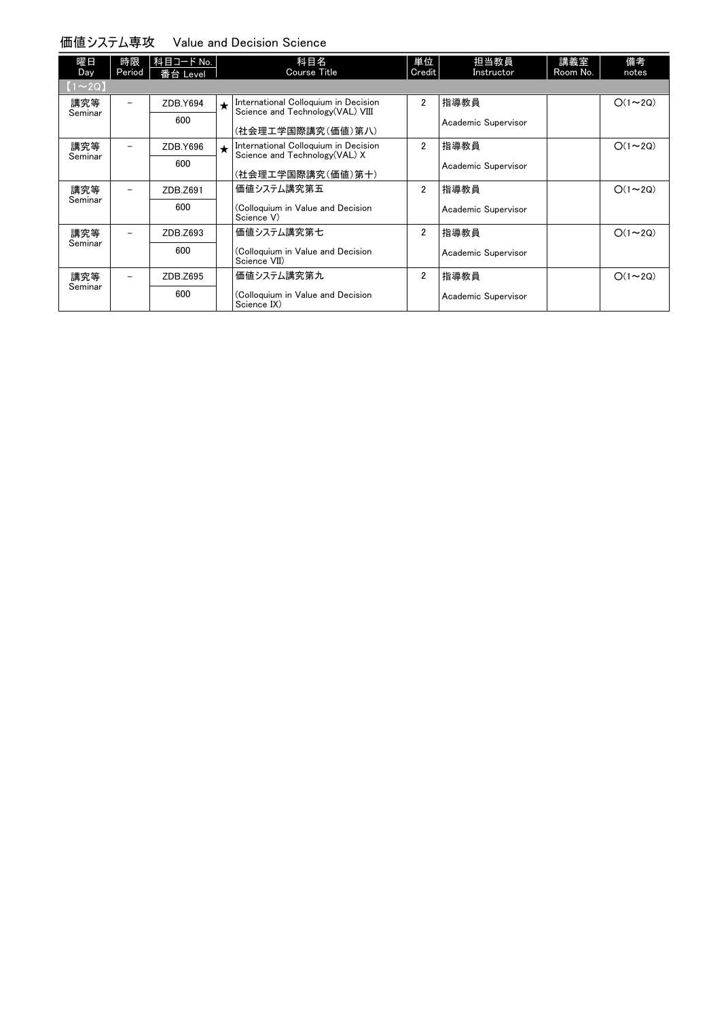#### 価値システム専攻 Value and Decision Science

| 躍日           | 時限      | 科目コード No. |         | 科目名                                                                       | 単位             | 担当教員                | 講義室      | 備考            |
|--------------|---------|-----------|---------|---------------------------------------------------------------------------|----------------|---------------------|----------|---------------|
| Day          | Period  | 番台 Level  |         | Course Title                                                              | Credit         | Instructor          | Room No. | notes         |
| $(1\sim 2Q)$ |         |           |         |                                                                           |                |                     |          |               |
| 講究等          |         | ZDB.Y694  | $\star$ | International Colloquium in Decision<br>Science and Technology (VAL) VIII | $\overline{2}$ | 指導教員                |          | $O(1\sim 2Q)$ |
| Seminar      |         | 600       |         | (社会理エ学国際講究(価値)第八)                                                         |                | Academic Supervisor |          |               |
| 講究等          |         | ZDB.Y696  | $\star$ | International Colloquium in Decision<br>Science and Technology(VAL) X     | $\overline{2}$ | 指導教員                |          | $O(1\sim 2Q)$ |
|              | Seminar | 600       |         | (社会理工学国際講究(価値)第十)                                                         |                | Academic Supervisor |          |               |
| 講究等          |         | ZDB.Z691  |         | 価値システム講究第五                                                                | $\overline{2}$ | 指導教員                |          | $O(1\sim 2Q)$ |
| Seminar      |         | 600       |         | (Colloquium in Value and Decision<br>Science V)                           |                | Academic Supervisor |          |               |
| 講究等          |         | ZDB.Z693  |         | 価値システム講究第七                                                                | $\overline{2}$ | 指導教員                |          | $O(1\sim 2Q)$ |
| Seminar      |         | 600       |         | (Colloquium in Value and Decision<br>Science VII)                         |                | Academic Supervisor |          |               |
| 講究等          |         | ZDB.Z695  |         | 価値システム講究第九                                                                | $\overline{2}$ | 指導教員                |          | $O(1\sim 2Q)$ |
| Seminar      |         | 600       |         | (Colloquium in Value and Decision<br>Science IX)                          |                | Academic Supervisor |          |               |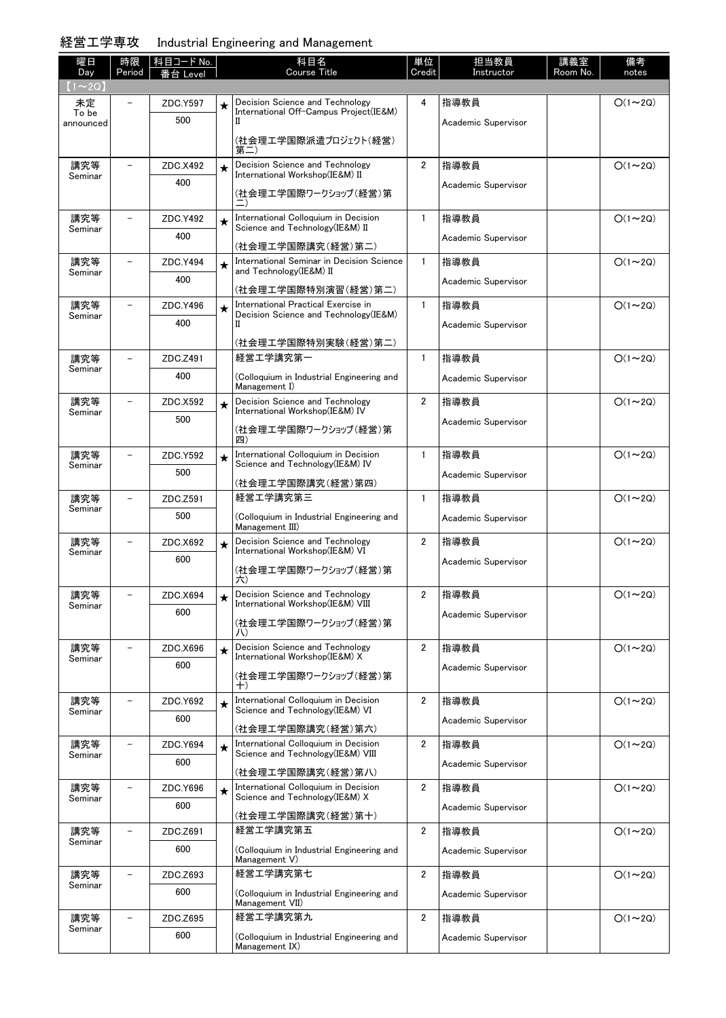### 経営工学専攻 Industrial Engineering and Management

| 曜日<br>Day      | 時限<br>Period | 科目コード No.<br>番台 Level |         | 科目名<br><b>Course Title</b>                                                | 単位<br>Credit            | 担当教員<br>Instructor  | 講義室<br>Room No. | 備考<br>notes    |
|----------------|--------------|-----------------------|---------|---------------------------------------------------------------------------|-------------------------|---------------------|-----------------|----------------|
| $(1\sim 2Q)$   |              |                       |         |                                                                           |                         |                     |                 |                |
| 未定<br>To be    |              | ZDC.Y597              | $\star$ | Decision Science and Technology<br>International Off-Campus Project(IE&M) | 4                       | 指導教員                |                 | $O(1\sim 2Q)$  |
| announced      |              | 500                   |         | П                                                                         |                         | Academic Supervisor |                 |                |
|                |              |                       |         | (社会理工学国際派遣プロジェクト(経営)<br>第二                                                |                         |                     |                 |                |
| 講究等<br>Seminar |              | ZDC.X492              | $\star$ | Decision Science and Technology<br>International Workshop(IE&M) II        | $\overline{2}$          | 指導教員                |                 | $O(1\sim 2Q)$  |
|                |              | 400                   |         | (社会理工学国際ワークショップ(経営)第                                                      |                         | Academic Supervisor |                 |                |
| 講究等<br>Seminar |              | ZDC.Y492              | $\star$ | International Colloquium in Decision<br>Science and Technology (IE&M) II  | $\mathbf{1}$            | 指導教員                |                 | $O(1\sim 2Q)$  |
|                |              | 400                   |         | (社会理工学国際講究(経営)第二)                                                         |                         | Academic Supervisor |                 |                |
| 講究等            |              | ZDC.Y494              | $\star$ | International Seminar in Decision Science                                 | $\mathbf{1}$            | 指導教員                |                 | $O(1\sim 2Q)$  |
| Seminar        |              | 400                   |         | and Technology(IE&M) II                                                   |                         | Academic Supervisor |                 |                |
| 講究等            |              | ZDC.Y496              |         | (社会理工学国際特別演習(経営)第二)<br>International Practical Exercise in                | $\mathbf{1}$            | 指導教員                |                 | $O(1\sim 2Q)$  |
| Seminar        |              | 400                   | $\star$ | Decision Science and Technology (IE&M)<br>П                               |                         |                     |                 |                |
|                |              |                       |         | (社会理工学国際特別実験(経営)第二)                                                       |                         | Academic Supervisor |                 |                |
| 講究等            |              | ZDC.Z491              |         | 経営工学講究第一                                                                  | $\mathbf{1}$            | 指導教員                |                 | $O(1\sim 2Q)$  |
| Seminar        |              | 400                   |         | (Colloquium in Industrial Engineering and                                 |                         | Academic Supervisor |                 |                |
|                |              |                       |         | Management I)                                                             |                         |                     |                 |                |
| 講究等<br>Seminar |              | ZDC.X592<br>500       | $\star$ | Decision Science and Technology<br>International Workshop(IE&M) IV        | $\overline{2}$          | 指導教員                |                 | $O(1\sim 2Q)$  |
|                |              |                       |         | (社会理工学国際ワークショップ(経営)第<br>四)                                                |                         | Academic Supervisor |                 |                |
| 講究等<br>Seminar |              | ZDC.Y592              | $\star$ | International Colloquium in Decision<br>Science and Technology (IE&M) IV  | $\mathbf{1}$            | 指導教員                |                 | $O(1\sim 2Q)$  |
|                |              | 500                   |         | (社会理工学国際講究(経営)第四)                                                         |                         | Academic Supervisor |                 |                |
| 講究等            |              | ZDC.Z591              |         | 経営工学講究第三                                                                  | $\mathbf{1}$            | 指導教員                |                 | $O(1\sim 2Q)$  |
| Seminar        |              | 500                   |         | (Colloquium in Industrial Engineering and                                 |                         | Academic Supervisor |                 |                |
| 講究等            |              | ZDC.X692              |         | Management III)<br>Decision Science and Technology                        | $\overline{2}$          | 指導教員                |                 | $O(1\sim 2Q)$  |
| Seminar        |              | 600                   | $\star$ | International Workshop(IE&M) VI                                           |                         | Academic Supervisor |                 |                |
|                |              |                       |         | (社会理工学国際ワークショップ(経営)第<br>六)                                                |                         |                     |                 |                |
| 講究等<br>Seminar |              | ZDC.X694              |         | Decision Science and Technology<br>International Workshop(IE&M) VIII      | $2^{\circ}$             | 指導教員                |                 | $O(1\sim 2Q)$  |
|                |              | 600                   |         | (社会理工学国際ワークショップ(経営)第<br>JV)                                               |                         | Academic Supervisor |                 |                |
| 講究等            |              | ZDC.X696              | $\star$ | Decision Science and Technology<br>International Workshop(IE&M) X         | $\overline{2}$          | 指導教員                |                 | $O(1\sim 2Q)$  |
| Seminar        |              | 600                   |         | (社会理工学国際ワークショップ(経営)第                                                      |                         | Academic Supervisor |                 |                |
|                |              |                       |         | $^{+)}$                                                                   |                         |                     |                 |                |
| 講究等<br>Seminar |              | ZDC.Y692              | $\star$ | International Colloquium in Decision<br>Science and Technology(IE&M) VI   | $\overline{\mathbf{2}}$ | 指導教員                |                 | $O(1\sim 2Q)$  |
|                |              | 600                   |         | (社会理工学国際講究(経営)第六)                                                         |                         | Academic Supervisor |                 |                |
| 講究等            |              | ZDC.Y694              | $\star$ | International Colloquium in Decision                                      | $\overline{\mathbf{2}}$ | 指導教員                |                 | $O(1\sim 2Q)$  |
| Seminar        |              | 600                   |         | Science and Technology(IE&M) VIII<br>(社会理工学国際講究(経営)第八)                    |                         | Academic Supervisor |                 |                |
| 講究等            |              | ZDC.Y696              | $\star$ | International Colloquium in Decision                                      | $\overline{\mathbf{2}}$ | 指導教員                |                 | $O(1 \sim 2Q)$ |
| Seminar        |              | 600                   |         | Science and Technology(IE&M) X                                            |                         | Academic Supervisor |                 |                |
|                |              |                       |         | (社会理工学国際講究(経営)第十)                                                         |                         |                     |                 |                |
| 講究等<br>Seminar |              | ZDC.Z691              |         | 経営工学講究第五                                                                  | $\overline{\mathbf{2}}$ | 指導教員                |                 | $O(1\sim 2Q)$  |
|                |              | 600                   |         | (Colloquium in Industrial Engineering and<br>Management V)                |                         | Academic Supervisor |                 |                |
| 講究等<br>Seminar |              | ZDC.Z693              |         | 経営工学講究第七                                                                  | $\overline{\mathbf{2}}$ | 指導教員                |                 | $O(1\sim 2Q)$  |
|                |              | 600                   |         | (Colloquium in Industrial Engineering and<br>Management VII)              |                         | Academic Supervisor |                 |                |
| 講究等            |              | ZDC.Z695              |         | 経営工学講究第九                                                                  | $\overline{\mathbf{2}}$ | 指導教員                |                 | $O(1 \sim 2Q)$ |
| Seminar        |              | 600                   |         | (Colloquium in Industrial Engineering and<br>Management IX)               |                         | Academic Supervisor |                 |                |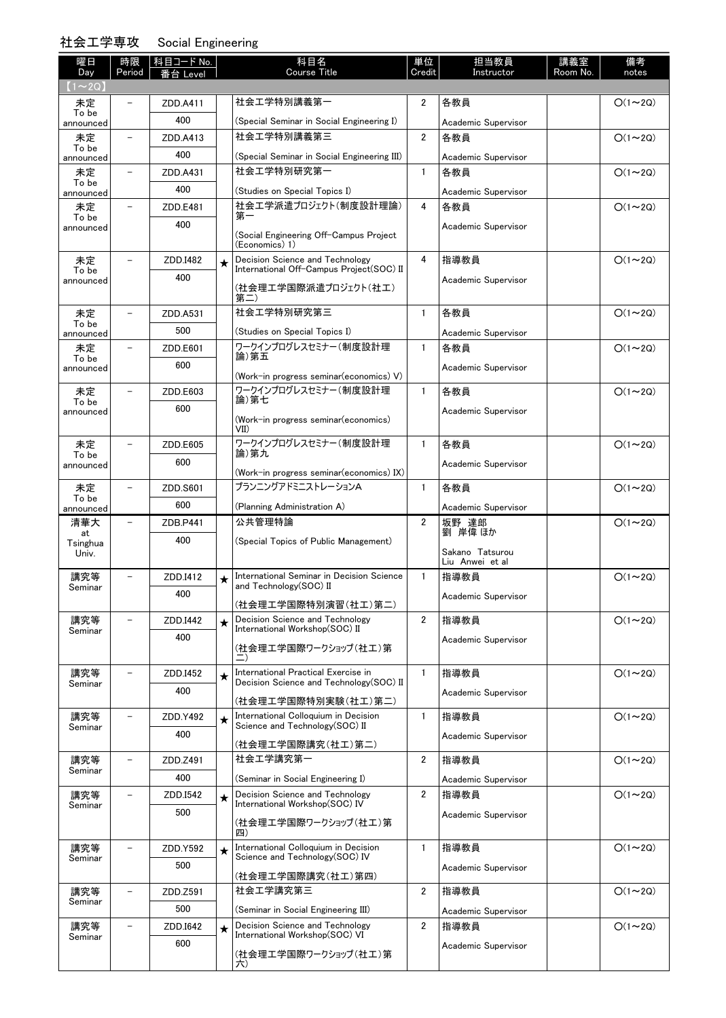# 社会工学専攻 Social Engineering

| 曜日<br><b>Day</b>   | 時限<br>Period             | 科目コード No.<br>番台 Level |         | 科目名<br><b>Course Title</b>                                              | 単位<br>Credit   | 担当教員<br>Instructor  | 講義室<br>Room No. | 備考<br>notes   |
|--------------------|--------------------------|-----------------------|---------|-------------------------------------------------------------------------|----------------|---------------------|-----------------|---------------|
| $(1\sim 2Q)$       |                          |                       |         |                                                                         |                |                     |                 |               |
| 未定<br>To be        |                          | ZDD.A411              |         | 社会工学特別講義第一                                                              | $\overline{2}$ | 各教員                 |                 | $O(1\sim 2Q)$ |
| announced          |                          | 400                   |         | (Special Seminar in Social Engineering I)                               |                | Academic Supervisor |                 |               |
| 未定<br>To be        |                          | ZDD.A413              |         | 社会工学特別講義第三                                                              | $\overline{2}$ | 各教員                 |                 | $O(1\sim 2Q)$ |
| announced          |                          | 400                   |         | (Special Seminar in Social Engineering III)                             |                | Academic Supervisor |                 |               |
| 未定<br>To be        |                          | ZDD.A431              |         | 社会工学特別研究第一                                                              | $\mathbf{1}$   | 各教員                 |                 | $O(1\sim 2Q)$ |
| announced          |                          | 400                   |         | (Studies on Special Topics I)                                           |                | Academic Supervisor |                 |               |
| 未定<br>To be        |                          | ZDD.E481              |         | 社会工学派遣プロジェクト(制度設計理論)<br>第一                                              | 4              | 各教員                 |                 | $O(1\sim 2Q)$ |
| announced          |                          | 400                   |         |                                                                         |                | Academic Supervisor |                 |               |
|                    |                          |                       |         | (Social Engineering Off-Campus Project<br>(Economics) 1)                |                |                     |                 |               |
| 未定                 |                          | ZDD.I482              | $\star$ | Decision Science and Technology                                         | 4              | 指導教員                |                 | $O(1\sim 2Q)$ |
| To be<br>announced |                          | 400                   |         | International Off-Campus Project(SOC) II                                |                | Academic Supervisor |                 |               |
|                    |                          |                       |         | (社会理工学国際派遣プロジェクト(社工)<br>第二)                                             |                |                     |                 |               |
| 未定                 |                          | ZDD.A531              |         | 社会工学特別研究第三                                                              | $\mathbf{1}$   | 各教員                 |                 | $O(1\sim 2Q)$ |
| To be<br>announced |                          | 500                   |         | (Studies on Special Topics I)                                           |                | Academic Supervisor |                 |               |
| 未定                 |                          | ZDD.E601              |         | ワークインプログレスセミナー(制度設計理                                                    | $\mathbf{1}$   | 各教員                 |                 | $O(1\sim 2Q)$ |
| To be<br>announced |                          | 600                   |         | 論)第五                                                                    |                | Academic Supervisor |                 |               |
|                    |                          |                       |         | (Work-in progress seminar (economics) V)                                |                |                     |                 |               |
| 未定<br>To be        |                          | ZDD.E603              |         | ワークインプログレスセミナー(制度設計理<br>論)第七                                            | $\mathbf{1}$   | 各教員                 |                 | $O(1\sim 2Q)$ |
| announced          |                          | 600                   |         | (Work-in progress seminar (economics)                                   |                | Academic Supervisor |                 |               |
|                    |                          |                       |         | VII                                                                     |                |                     |                 |               |
| 未定                 |                          | ZDD.E605              |         | ワークインプログレスセミナー(制度設計理<br>論)第九                                            | $\mathbf{1}$   | 各教員                 |                 | $O(1\sim 2Q)$ |
| To be<br>announced |                          | 600                   |         |                                                                         |                | Academic Supervisor |                 |               |
|                    |                          |                       |         | (Work-in progress seminar (economics) IX)<br>プランニングアドミニストレーションA         | $\mathbf{1}$   |                     |                 |               |
| 未定<br>To be        |                          | ZDD.S601              |         |                                                                         |                | 各教員                 |                 | $O(1\sim 2Q)$ |
| announced          |                          | 600                   |         | (Planning Administration A)                                             |                | Academic Supervisor |                 |               |
| 清華大<br>at          | $\overline{\phantom{0}}$ | ZDB.P441              |         | 公共管理特論                                                                  | $\overline{2}$ | 坂野 達郎<br>劉 岸偉 ほか    |                 | $O(1\sim 2Q)$ |
| Tsinghua<br>Univ.  |                          | 400                   |         | (Special Topics of Public Management)                                   |                | Sakano Tatsurou     |                 |               |
|                    |                          |                       |         |                                                                         |                | Liu Anwei et al     |                 |               |
| 講究等<br>Seminar     | $\overline{\phantom{0}}$ | ZDD.I412              | $\star$ | International Seminar in Decision Science<br>and Technology(SOC) II     | $\mathbf{1}$   | 指導教員                |                 | $O(1\sim 2Q)$ |
|                    |                          | 400                   |         | (社会理工学国際特別演習(社工)第二)                                                     |                | Academic Supervisor |                 |               |
| 講究等                | $\overline{a}$           | ZDD.I442              | $\star$ | Decision Science and Technology                                         | $\overline{2}$ | 指導教員                |                 | $O(1\sim 2Q)$ |
| Seminar            |                          | 400                   |         | International Workshop(SOC) II                                          |                | Academic Supervisor |                 |               |
|                    |                          |                       |         | (社会理工学国際ワークショップ(社工)第                                                    |                |                     |                 |               |
| 講究等                |                          | ZDD.I452              | $\star$ | International Practical Exercise in                                     | $\mathbf{1}$   | 指導教員                |                 | $O(1\sim 2Q)$ |
| Seminar            |                          | 400                   |         | Decision Science and Technology (SOC) II                                |                |                     |                 |               |
|                    |                          |                       |         | (社会理工学国際特別実験(社工)第二)                                                     |                | Academic Supervisor |                 |               |
| 講究等                |                          | ZDD.Y492              | $\star$ | International Colloquium in Decision<br>Science and Technology(SOC) II  | $\mathbf{1}$   | 指導教員                |                 | $O(1\sim 2Q)$ |
| Seminar            |                          | 400                   |         |                                                                         |                | Academic Supervisor |                 |               |
| 講究等                |                          | ZDD.Z491              |         | (社会理工学国際講究(社工)第二)<br>社会工学講究第一                                           | $\overline{2}$ | 指導教員                |                 | $O(1\sim 2Q)$ |
| Seminar            |                          | 400                   |         |                                                                         |                |                     |                 |               |
|                    | $\overline{\phantom{0}}$ |                       |         | (Seminar in Social Engineering I)<br>Decision Science and Technology    | $\overline{2}$ | Academic Supervisor |                 | $O(1\sim 2Q)$ |
| 講究等<br>Seminar     |                          | ZDD.I542<br>500       | $\star$ | International Workshop(SOC) IV                                          |                | 指導教員                |                 |               |
|                    |                          |                       |         | (社会理工学国際ワークショップ(社工)第                                                    |                | Academic Supervisor |                 |               |
|                    |                          |                       |         | 四)                                                                      |                |                     |                 |               |
| 講究等<br>Seminar     |                          | ZDD.Y592              | $\star$ | International Colloquium in Decision<br>Science and Technology (SOC) IV | $\mathbf{1}$   | 指導教員                |                 | $O(1\sim 2Q)$ |
|                    |                          | 500                   |         | (社会理工学国際講究(社工)第四)                                                       |                | Academic Supervisor |                 |               |
| 講究等                |                          | ZDD.Z591              |         | 社会工学講究第三                                                                | $\overline{2}$ | 指導教員                |                 | $O(1\sim 2Q)$ |
| Seminar            |                          | 500                   |         | (Seminar in Social Engineering III)                                     |                | Academic Supervisor |                 |               |
| 講究等                |                          | ZDD.I642              | $\star$ | Decision Science and Technology                                         | $\overline{2}$ | 指導教員                |                 | $O(1\sim 2Q)$ |
| Seminar            |                          | 600                   |         | International Workshop(SOC) VI                                          |                | Academic Supervisor |                 |               |
|                    |                          |                       |         | (社会理工学国際ワークショップ(社工)第<br>六)                                              |                |                     |                 |               |